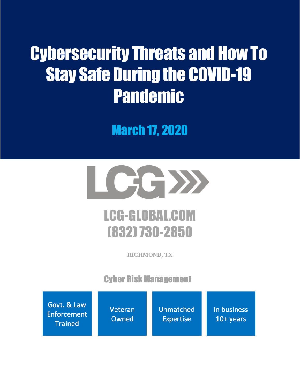# Cybersecurity Threats and How To Stay Safe During the COVID-19 Pandemic

March 17, 2020



# LCG-GLOBAL.COM (832) 730-2850

**RICHMOND, TX**

Cyber Risk Management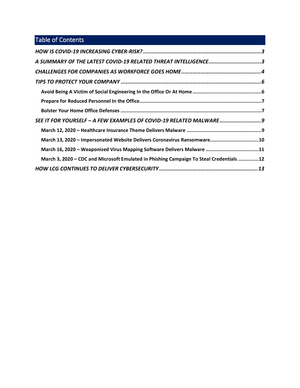# Table of Contents

| A SUMMARY OF THE LATEST COVID-19 RELATED THREAT INTELLIGENCE3                           |
|-----------------------------------------------------------------------------------------|
|                                                                                         |
|                                                                                         |
|                                                                                         |
|                                                                                         |
|                                                                                         |
| SEE IT FOR YOURSELF - A FEW EXAMPLES OF COVID-19 RELATED MALWARE9                       |
|                                                                                         |
| March 13, 2020 - Impersonated Website Delivers Coronavirus Ransomware10                 |
| March 16, 2020 - Weaponized Virus Mapping Software Delivers Malware 11                  |
| March 3, 2020 - CDC and Microsoft Emulated in Phishing Campaign To Steal Credentials 12 |
|                                                                                         |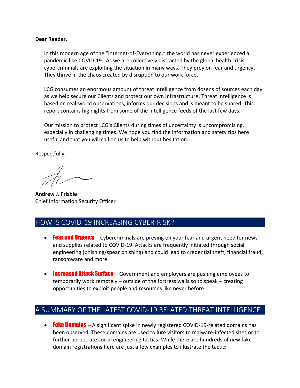#### **Dear Reader,**

In this modern age of the "Internet-of-Everything," the world has never experienced a pandemic like COVID-19. As we are collectively distracted by the global health crisis, cybercriminals are exploiting the situation in many ways. They prey on fear and urgency. They thrive in the chaos created by disruption to our work force.

LCG consumes an enormous amount of threat intelligence from dozens of sources each day as we help secure our Clients and protect our own infrastructure. Threat Intelligence is based on real-world observations, informs our decisions and is meant to be shared. This report contains highlights from some of the intelligence feeds of the last few days.

Our mission to protect LCG's Clients during times of uncertainty is uncompromising, especially in challenging times. We hope you find the information and safety tips here useful and that you will call on us to help without hesitation.

Respectfully,

**Andrew J. Frisbie** Chief Information Security Officer

#### <span id="page-2-0"></span>HOW IS COVID-19 INCREASING CYBER-RISK?

- Fear and Urgency Cybercriminals are preying on your fear and urgent need for news and supplies related to COVID-19. Attacks are frequently initiated through social engineering (phishing/spear phishing) and could lead to credential theft, financial fraud, ransomware and more.
- Increased Attack Surface Government and employers are pushing employees to temporarily work remotely – outside of the fortress walls so to speak – creating opportunities to exploit people and resources like never before.

#### <span id="page-2-1"></span>A SUMMARY OF THE LATEST COVID-19 RELATED THREAT INTELLIGENCE

• **Fake Domains** – A significant spike in newly registered COVID-19-related domains has been observed. These domains are used to lure visitors to malware-infected sites or to further perpetrate social engineering tactics. While there are hundreds of new fake domain registrations here are just a few examples to illustrate the tactic: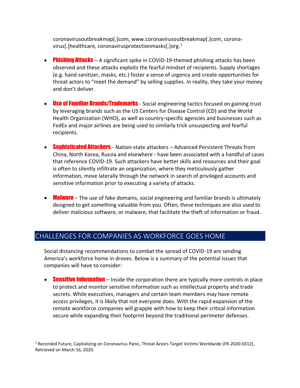coronavirusoutbreakmap[.]com, www.coronavirusoutbreakmap[.]com, coronavirus[.]healthcare, coronavirusprotectionmasks[.]org.<sup>1</sup>

- **Phishing Attacks** A significant spike in COVID-19-themed phishing attacks has been observed and these attacks exploits the fearful mindset of recipients. Supply shortages (e.g. hand sanitizer, masks, etc.) foster a sense of urgency and create opportunities for threat actors to "meet the demand" by selling supplies. In reality, they take your money and don't deliver.
- **Use of Familiar Brands/Trademarks** Social engineering tactics focused on gaining trust by leveraging brands such as the US Centers for Disease Control (CD) and the World Health Organization (WHO), as well as country-specific agencies and businesses such as FedEx and major airlines are being used to similarly trick unsuspecting and fearful recipients.
- **Sophisticated Attackers** Nation-state attackers Advanced Persistent Threats from China, North Korea, Russia and elsewhere - have been associated with a handful of cases that reference COVID-19. Such attackers have better skills and resources and their goal is often to silently infiltrate an organization, where they meticulously gather information, move laterally through the network in search of privileged accounts and sensitive information prior to executing a variety of attacks.
- **Malware** The use of fake domains, social engineering and familiar brands is ultimately designed to get something valuable from you. Often, these techniques are also used to deliver malicious software, or malware, that facilitate the theft of information or fraud.

#### <span id="page-3-0"></span>CHALLENGES FOR COMPANIES AS WORKFORCE GOES HOME

Social distancing recommendations to combat the spread of COVID-19 are sending America's workforce home in droves. Below is a summary of the potential issues that companies will have to consider:

• Sensitive Information – Inside the corporation there are typically more controls in place to protect and monitor sensitive information such as intellectual property and trade secrets. While executives, managers and certain team members may have remote access privileges, it is likely that not everyone does. With the rapid expansion of the remote workforce companies will grapple with how to keep their critical information secure while expanding their footprint beyond the traditional perimeter defenses.

<sup>&</sup>lt;sup>1</sup> Recorded Future, Capitalizing on Coronavirus Panic, Threat Actors Target Victims Worldwide (FR-2020-0312), Retrieved on March 16, 2020.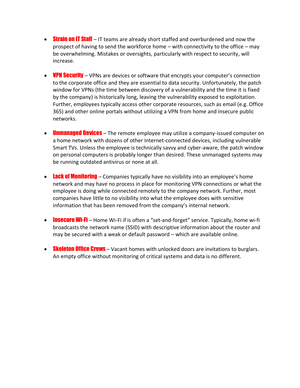- **Strain on IT Staff** IT teams are already short staffed and overburdened and now the prospect of having to send the workforce home – with connectivity to the office – may be overwhelming. Mistakes or oversights, particularly with respect to security, will increase.
- **VPN Security** VPNs are devices or software that encrypts your computer's connection to the corporate office and they are essential to data security. Unfortunately, the patch window for VPNs (the time between discovery of a vulnerability and the time it is fixed by the company) is historically long, leaving the vulnerability exposed to exploitation. Further, employees typically access other corporate resources, such as email (e.g. Office 365) and other online portals without utilizing a VPN from home and insecure public networks.
- **Unmanaged Devices** The remote employee may utilize a company-issued computer on a home network with dozens of other Internet-connected devices, including vulnerable Smart TVs. Unless the employee is technically savvy and cyber-aware, the patch window on personal computers is probably longer than desired. These unmanaged systems may be running outdated antivirus or none at all.
- **Lack of Monitoring** Companies typically have no visibility into an employee's home network and may have no process in place for monitoring VPN connections or what the employee is doing while connected remotely to the company network. Further, most companies have little to no visibility into what the employee does with sensitive information that has been removed from the company's internal network.
- **Insecure Wi-Fi** Home Wi-Fi if is often a "set-and-forget" service. Typically, home wi-fi broadcasts the network name (SSID) with descriptive information about the router and may be secured with a weak or default password – which are available online.
- Skeleton Office Crews Vacant homes with unlocked doors are invitations to burglars. An empty office without monitoring of critical systems and data is no different.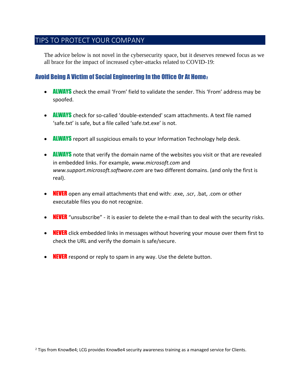#### <span id="page-5-0"></span>TIPS TO PROTECT YOUR COMPANY

The advice below is not novel in the cybersecurity space, but it deserves renewed focus as we all brace for the impact of increased cyber-attacks related to COVID-19:

#### <span id="page-5-1"></span>Avoid Being A Victim of Social Engineering In the Office Or At Home2

- **ALWAYS** check the email 'From' field to validate the sender. This 'From' address may be spoofed.
- **ALWAYS** check for so-called 'double-extended' scam attachments. A text file named 'safe.txt' is safe, but a file called 'safe.txt.exe' is not.
- **ALWAYS** report all suspicious emails to your Information Technology help desk.
- **ALWAYS** note that verify the domain name of the websites you visit or that are revealed in embedded links. For example, *www.microsoft.com* and *www.support.microsoft.software.com* are two different domains. (and only the first is real).
- **NEVER** open any email attachments that end with: .exe, .scr, .bat, .com or other executable files you do not recognize.
- **NEVER** "unsubscribe" it is easier to delete the e-mail than to deal with the security risks.
- **NEVER** click embedded links in messages without hovering your mouse over them first to check the URL and verify the domain is safe/secure.
- $\bullet$  **NEVER** respond or reply to spam in any way. Use the delete button.

<sup>2</sup> Tips from KnowBe4; LCG provides KnowBe4 security awareness training as a managed service for Clients.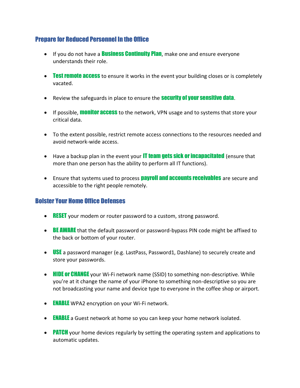#### <span id="page-6-0"></span>Prepare for Reduced Personnel In the Office

- If you do not have a **Business Continuity Plan**, make one and ensure everyone understands their role.
- Test remote access to ensure it works in the event your building closes or is completely vacated.
- Review the safeguards in place to ensure the **Security of your sensitive data**.
- If possible, **monitor access** to the network, VPN usage and to systems that store your critical data.
- To the extent possible, restrict remote access connections to the resources needed and avoid network-wide access.
- Have a backup plan in the event your **IT team gets sick or incapacitated** (ensure that more than one person has the ability to perform all IT functions).
- Ensure that systems used to process **payroll and accounts receivables** are secure and accessible to the right people remotely.

#### <span id="page-6-1"></span>Bolster Your Home Office Defenses

- **RESET** your modem or router password to a custom, strong password.
- **BE AWARE** that the default password or password-bypass PIN code might be affixed to the back or bottom of your router.
- **USE** a password manager (e.g. LastPass, Password1, Dashlane) to securely create and store your passwords.
- HIDE or CHANGE your Wi-Fi network name (SSID) to something non-descriptive. While you're at it change the name of your iPhone to something non-descriptive so you are not broadcasting your name and device type to everyone in the coffee shop or airport.
- **ENABLE** WPA2 encryption on your Wi-Fi network.
- **ENABLE** a Guest network at home so you can keep your home network isolated.
- **PATCH** your home devices regularly by setting the operating system and applications to automatic updates.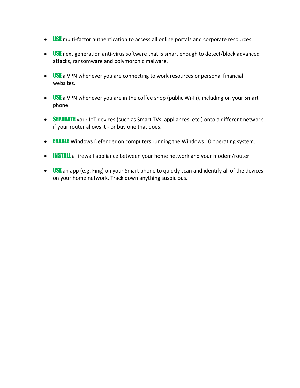- **USE** multi-factor authentication to access all online portals and corporate resources.
- **USE** next generation anti-virus software that is smart enough to detect/block advanced attacks, ransomware and polymorphic malware.
- $\bullet$  USE a VPN whenever you are connecting to work resources or personal financial websites.
- $\bullet$  USE a VPN whenever you are in the coffee shop (public Wi-Fi), including on your Smart phone.
- SEPARATE your IoT devices (such as Smart TVs, appliances, etc.) onto a different network if your router allows it - or buy one that does.
- **ENABLE** Windows Defender on computers running the Windows 10 operating system.
- **INSTALL** a firewall appliance between your home network and your modem/router.
- $\bullet$  USE an app (e.g. Fing) on your Smart phone to quickly scan and identify all of the devices on your home network. Track down anything suspicious.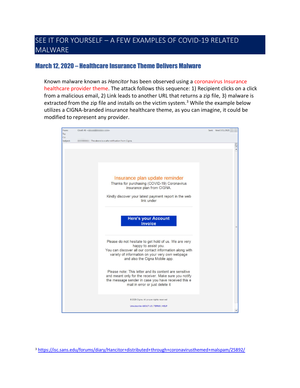### <span id="page-8-0"></span>SEE IT FOR YOURSELF – A FEW EXAMPLES OF COVID-19 RELATED MALWARE

#### <span id="page-8-1"></span>March 12, 2020 – Healthcare Insurance Theme Delivers Malware

Known malware known as *Hancitor* has been observed using a coronavirus Insurance healthcare provider theme. The attack follows this sequence: 1) Recipient clicks on a click from a malicious email, 2) Link leads to another URL that returns a zip file, 3) malware is extracted from the zip file and installs on the victim system. $3$  While the example below utilizes a CIGNA-branded insurance healthcare theme, as you can imagine, it could be modified to represent any provider.

| From:<br>To:    | Covid $Ab <$                                                                                                                                                                                                                  | Sent: Wed 3/11/2020    |
|-----------------|-------------------------------------------------------------------------------------------------------------------------------------------------------------------------------------------------------------------------------|------------------------|
| Cc:<br>Subject: | The above is a safe notification from Cigna.                                                                                                                                                                                  |                        |
|                 |                                                                                                                                                                                                                               | C3<br>$\blacktriangle$ |
|                 | Insurance plan update reminder<br>Thanks for purchasing (COVID-19) Coronavirus<br>insurance plan from CIGNA.<br>Kindly discover your latest payment report in the web<br>link under                                           |                        |
|                 | <b>Here's your Account</b><br>invoice                                                                                                                                                                                         |                        |
|                 | Please do not hesitate to get hold of us. We are very<br>happy to assist you.<br>You can discover all our contact information along with<br>variety of information on your very own webpage<br>and also the Cigna Mobile app. |                        |
|                 | Please note: This letter and its content are sensitive<br>and meant only for the receiver. Make sure you notify<br>the message sender in case you have received this e<br>mail in error or just delete it                     |                        |
|                 | @ 2020 Cigna. All proper rights reserved<br>Unsubscribe ABOUT US   TERMS   HELP                                                                                                                                               |                        |

<sup>3</sup> <https://isc.sans.edu/forums/diary/Hancitor+distributed+through+coronavirusthemed+malspam/25892/>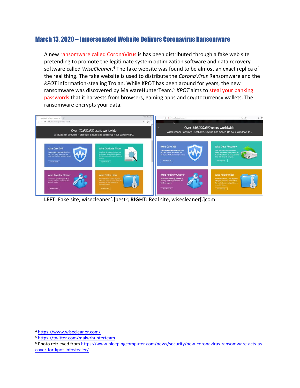#### <span id="page-9-0"></span>March 13, 2020 – Impersonated Website Delivers Coronavirus Ransomware

A new ransomware called CoronaVirus is has been distributed through a fake web site pretending to promote the legitimate system optimization software and data recovery software called *WiseCleaner*. <sup>4</sup> The fake website was found to be almost an exact replica of the real thing. The fake website is used to distribute the *CoronaVirus* Ransomware and the *KPOT* information-stealing Trojan. While KPOT has been around for years, the new ransomware was discovered by MalwareHunterTeam. <sup>5</sup> *KPOT* aims to steal your banking passwords that it harvests from browsers, gaming apps and cryptocurrency wallets. The ransomware encrypts your data.



**LEFT**: Fake site, wisecleaner[.]best<sup>6</sup>; RIGHT: Real site, wisecleaner[.]com

<sup>4</sup> <https://www.wisecleaner.com/>

<sup>5</sup> <https://twitter.com/malwrhunterteam>

<sup>6</sup> Photo retrieved from [https://www.bleepingcomputer.com/news/security/new-coronavirus-ransomware-acts-as](https://www.bleepingcomputer.com/news/security/new-coronavirus-ransomware-acts-as-cover-for-kpot-infostealer/)[cover-for-kpot-infostealer/](https://www.bleepingcomputer.com/news/security/new-coronavirus-ransomware-acts-as-cover-for-kpot-infostealer/)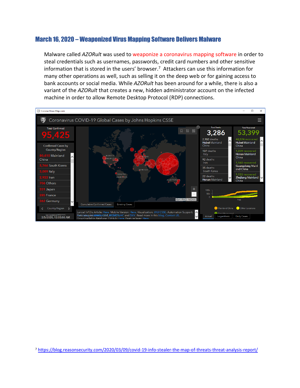#### <span id="page-10-0"></span>March 16, 2020 – Weaponized Virus Mapping Software Delivers Malware

Malware called *AZORult* was used to weaponize a coronavirus mapping software in order to steal credentials such as usernames, passwords, credit card numbers and other sensitive information that is stored in the users' browser.<sup>7</sup> Attackers can use this information for many other operations as well, such as selling it on the deep web or for gaining access to bank accounts or social media. While *AZORult* has been around for a while, there is also a variant of the *AZORult* that creates a new, hidden administrator account on the infected machine in order to allow Remote Desktop Protocol (RDP) connections.



<sup>7</sup> <https://blog.reasonsecurity.com/2020/03/09/covid-19-info-stealer-the-map-of-threats-threat-analysis-report/>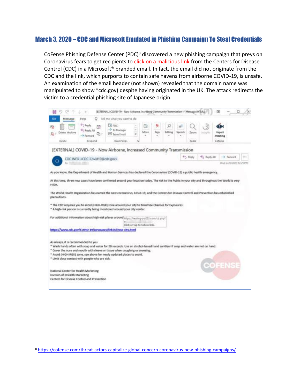#### <span id="page-11-0"></span>March 3, 2020 – CDC and Microsoft Emulated in Phishing Campaign To Steal Credentials

CoFense Phishing Defense Center (PDC)<sup>8</sup> discovered a new phishing campaign that preys on Coronavirus fears to get recipients to click on a malicious link from the Centers for Disease Control (CDC) in a Microsoft® branded email. In fact, the email did not originate from the CDC and the link, which purports to contain safe havens from airborne COVID-19, is unsafe. An examination of the email header (not shown) revealed that the domain name was manipulated to show "cdc.gov) despite having originated in the UK. The attack redirects the victim to a credential phishing site of Japanese origin.



<sup>8</sup> <https://cofense.com/threat-actors-capitalize-global-concern-coronavirus-new-phishing-campaigns/>